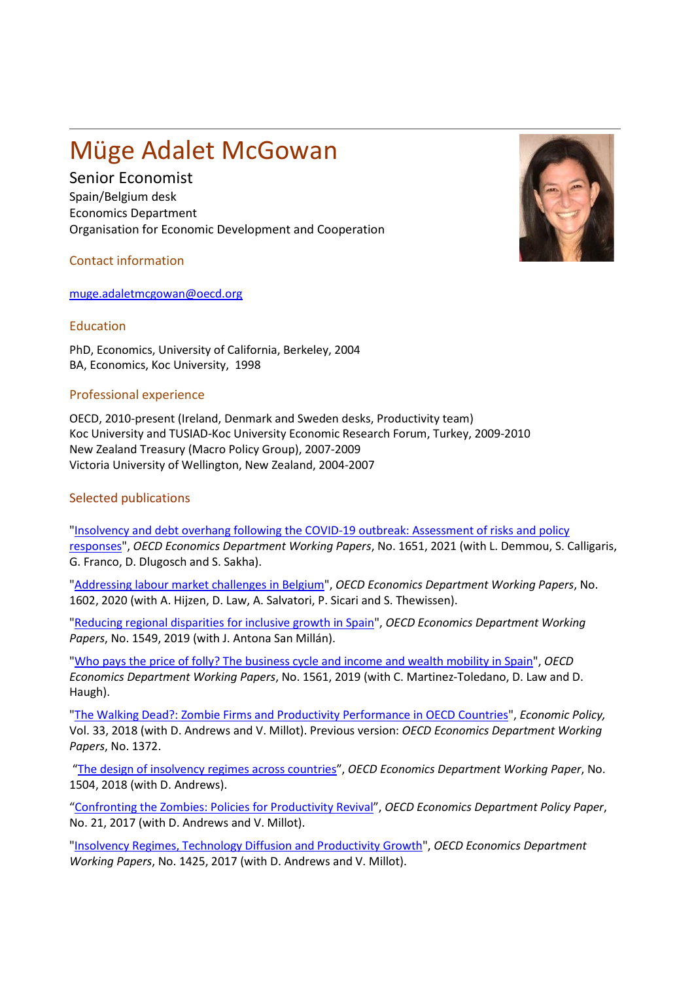## Müge Adalet McGowan

Senior Economist

Spain/Belgium desk Economics Department Organisation for Economic Development and Cooperation

Contact information

[muge.adaletmcgowan@oecd.org](mailto:muge.adaletmcgowan@oecd.org)

## Education

PhD, Economics, University of California, Berkeley, 2004 BA, Economics, Koc University, 1998

## Professional experience

OECD, 2010-present (Ireland, Denmark and Sweden desks, Productivity team) Koc University and TUSIAD-Koc University Economic Research Forum, Turkey, 2009-2010 New Zealand Treasury (Macro Policy Group), 2007-2009 Victoria University of Wellington, New Zealand, 2004-2007

## Selected publications

["Insolvency and debt overhang following the COVID-19 outbreak: Assessment of risks and policy](https://doi.org/10.1787/747a8226-en)  [responses"](https://doi.org/10.1787/747a8226-en), *OECD Economics Department Working Papers*, No. 1651, 2021 (with L. Demmou, S. Calligaris, G. Franco, D. Dlugosch and S. Sakha).

["Addressing labour market challenges in Belgium"](https://www.oecd-ilibrary.org/economics/addressing-labour-market-challenges-in-belgium_8a542d68-en), *OECD Economics Department Working Papers*, No. 1602, 2020 (with A. Hijzen, D. Law, A. Salvatori, P. Sicari and S. Thewissen).

["Reducing regional disparities for inclusive growth in Spain"](https://www.oecd-ilibrary.org/economics/reducing-regional-disparities-for-inclusive-growth-in-spain_9acff09a-en), *OECD Economics Department Working Papers*, No. 1549, 2019 (with J. Antona San Millán).

["Who pays the price of folly? The business cycle and income and wealth mobility in Spain"](https://www.oecd-ilibrary.org/economics/who-pays-the-price-of-folly-the-business-cycle-and-income-and-wealth-mobility-in-spain_880f797c-en), *OECD Economics Department Working Papers*, No. 1561, 2019 (with C. Martinez-Toledano, D. Law and D. Haugh).

["The Walking Dead?: Zombie Firms and Productivity Performance in OECD Countries"](https://www.oecd.org/economy/growth/The-Walking-Dead-Zombie-Firms-and-Productivity-Performance-in-OECD-Countries.pdf), *Economic Policy,*  Vol. 33, 2018 (with D. Andrews and V. Millot). Previous version: *OECD Economics Department Working Papers*, No. 1372.

["The design of insolvency regimes across countries"](https://www.oecd-ilibrary.org/economics/design-of-insolvency-regimes-across-countries_d44dc56f-en), *OECD Economics Department Working Paper*, No. 1504, 2018 (with D. Andrews).

["Confronting the Zombies: Policies for Productivity Revival"](http://www.oecd-ilibrary.org/economics/confronting-the-zombies_f14fd801-en), *OECD Economics Department Policy Paper*, No. 21, 2017 (with D. Andrews and V. Millot).

["Insolvency Regimes, Technology Diffusion and Productivity Growth"](http://www.oecd-ilibrary.org/economics/insolvency-regimes-technology-diffusion-and-productivity-growth_36600267-en), *OECD Economics Department Working Papers*, No. 1425, 2017 (with D. Andrews and V. Millot).